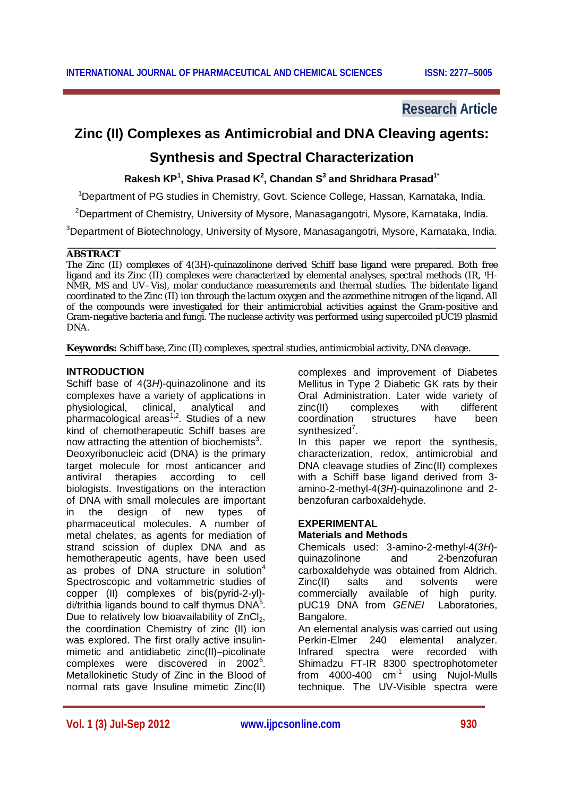# **Research Article**

# **Zinc (II) Complexes as Antimicrobial and DNA Cleaving agents:**

# **Synthesis and Spectral Characterization**

**Rakesh KP<sup>1</sup> , Shiva Prasad K<sup>2</sup> , Chandan S<sup>3</sup> and Shridhara Prasad1\***

<sup>1</sup>Department of PG studies in Chemistry, Govt. Science College, Hassan, Karnataka, India.

<sup>2</sup>Department of Chemistry, University of Mysore, Manasagangotri, Mysore, Karnataka, India.

<sup>3</sup>Department of Biotechnology, University of Mysore, Manasagangotri, Mysore, Karnataka, India.

#### \_\_\_\_\_\_\_\_\_\_\_\_\_\_\_\_\_\_\_\_\_\_\_\_\_\_\_\_\_\_\_\_\_\_\_\_\_\_\_\_\_\_\_\_\_\_\_\_\_\_\_\_\_\_\_\_\_\_\_\_\_\_\_\_\_\_\_\_\_\_\_\_\_\_\_\_ **ABSTRACT**

The Zinc (II) complexes of 4(3*H*)-quinazolinone derived Schiff base ligand were prepared. Both free ligand and its Zinc (II) complexes were characterized by elemental analyses, spectral methods (IR, 1H-NMR, MS and UV–Vis), molar conductance measurements and thermal studies. The bidentate ligand coordinated to the Zinc (II) ion through the lactum oxygen and the azomethine nitrogen of the ligand. All of the compounds were investigated for their antimicrobial activities against the Gram-positive and Gram-negative bacteria and fungi. The nuclease activity was performed using supercoiled pUC19 plasmid DNA.

**Keywords:** Schiff base, Zinc (II) complexes, spectral studies, antimicrobial activity, DNA cleavage.

# **INTRODUCTION**

Schiff base of 4(3*H*)-quinazolinone and its complexes have a variety of applications in physiological, clinical, analytical and pharmacological areas<sup>1,2</sup>. Studies of a new kind of chemotherapeutic Schiff bases are now attracting the attention of biochemists $3$ . Deoxyribonucleic acid (DNA) is the primary target molecule for most anticancer and antiviral therapies according to cell biologists. Investigations on the interaction of DNA with small molecules are important in the design of new types of pharmaceutical molecules. A number of metal chelates, as agents for mediation of strand scission of duplex DNA and as hemotherapeutic agents, have been used as probes of DNA structure in solution $4$ Spectroscopic and voltammetric studies of copper (II) complexes of bis(pyrid-2-yl) di/trithia ligands bound to calf thymus  $DNA<sup>5</sup>$ . Due to relatively low bioavailability of ZnCl<sub>2</sub>. the coordination Chemistry of zinc (II) ion was explored. The first orally active insulinmimetic and antidiabetic zinc(II)–picolinate complexes were discovered in 2002<sup>6</sup>. Metallokinetic Study of Zinc in the Blood of normal rats gave Insuline mimetic Zinc(II)

complexes and improvement of Diabetes Mellitus in Type 2 Diabetic GK rats by their Oral Administration. Later wide variety of zinc(II) complexes with different<br>coordination structures have been coordination synthesized<sup>7</sup>.

In this paper we report the synthesis, characterization, redox, antimicrobial and DNA cleavage studies of Zinc(II) complexes with a Schiff base ligand derived from 3 amino-2-methyl-4(*3H*)-quinazolinone and 2 benzofuran carboxaldehyde.

# **EXPERIMENTAL**

# **Materials and Methods**

Chemicals used: 3-amino-2-methyl-4(*3H*) quinazolinone and 2-benzofuran carboxaldehyde was obtained from Aldrich. Zinc(II) salts and solvents were commercially available of high purity. pUC19 DNA from *GENEI* Laboratories, Bangalore.

An elemental analysis was carried out using Perkin-Elmer 240 elemental analyzer. Infrared spectra were recorded with Shimadzu FT-IR 8300 spectrophotometer from 4000-400 cm<sup>-1</sup> using Nujol-Mulls technique. The UV-Visible spectra were

**Vol. 1 (3) Jul-Sep 2012 www.ijpcsonline.com 930**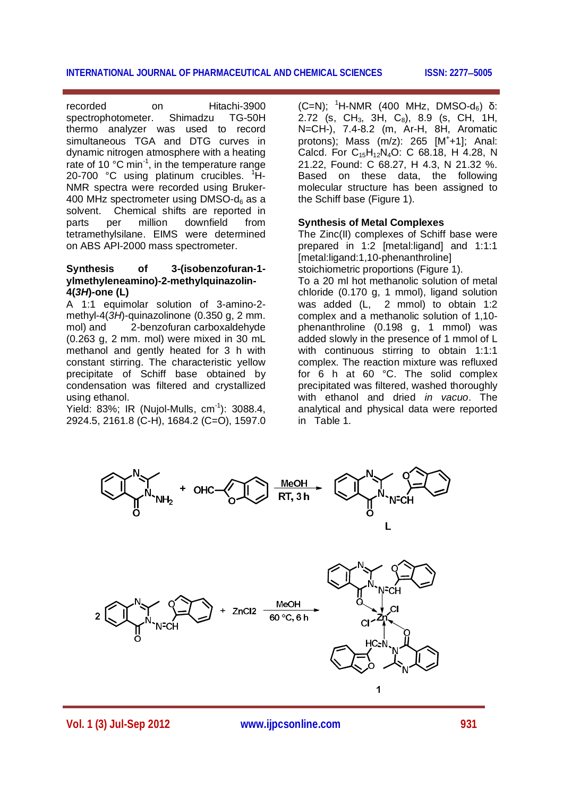recorded on Hitachi-3900 spectrophotometer. Shimadzu TG-50H thermo analyzer was used to record simultaneous TGA and DTG curves in dynamic nitrogen atmosphere with a heating rate of 10 °C min<sup>-1</sup>, in the temperature range 20-700  $\degree$ C using platinum crucibles.  $\degree$ H-NMR spectra were recorded using Bruker-400 MHz spectrometer using DMSO- $d_6$  as a solvent. Chemical shifts are reported in parts per million downfield from tetramethylsilane. EIMS were determined on ABS API-2000 mass spectrometer.

# **Synthesis of 3-(isobenzofuran-1 ylmethyleneamino)-2-methylquinazolin-4(***3H***)-one (L)**

A 1:1 equimolar solution of 3-amino-2 methyl-4(*3H*)-quinazolinone (0.350 g, 2 mm. mol) and 2-benzofuran carboxaldehyde (0.263 g, 2 mm. mol) were mixed in 30 mL methanol and gently heated for 3 h with constant stirring. The characteristic yellow precipitate of Schiff base obtained by condensation was filtered and crystallized using ethanol.

Yield: 83%; IR (Nujol-Mulls, cm<sup>-1</sup>): 3088.4, 2924.5, 2161.8 (C-H), 1684.2 (C=O), 1597.0

 $(C=N)$ ; <sup>1</sup>H-NMR (400 MHz, DMSO-d<sub>6</sub>) δ: 2.72 (s,  $CH_3$ , 3H,  $C_8$ ), 8.9 (s, CH, 1H, N=CH-), 7.4-8.2 (m, Ar-H, 8H, Aromatic protons); Mass (m/z): 265 [M<sup>+</sup>+1]; Anal: Calcd. For  $C_{15}H_{12}N_4O$ : C 68.18, H 4.28, N 21.22, Found: C 68.27, H 4.3, N 21.32 %. Based on these data, the following molecular structure has been assigned to the Schiff base (Figure 1).

# **Synthesis of Metal Complexes**

The Zinc(II) complexes of Schiff base were prepared in 1:2 [metal:ligand] and 1:1:1 [metal:ligand:1,10-phenanthroline]

stoichiometric proportions (Figure 1). To a 20 ml hot methanolic solution of metal

chloride (0.170 g, 1 mmol), ligand solution was added (L, 2 mmol) to obtain 1:2 complex and a methanolic solution of 1,10 phenanthroline (0.198 g, 1 mmol) was added slowly in the presence of 1 mmol of L with continuous stirring to obtain 1:1:1 complex. The reaction mixture was refluxed for 6 h at 60 °C. The solid complex precipitated was filtered, washed thoroughly with ethanol and dried *in vacuo*. The analytical and physical data were reported in Table 1.



**Vol. 1 (3) Jul-Sep 2012 www.ijpcsonline.com 931**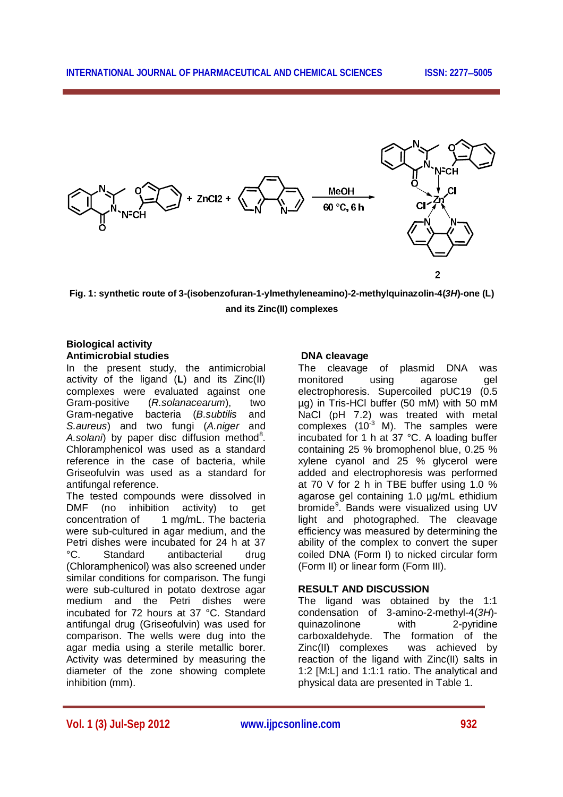

**Fig. 1: synthetic route of 3-(isobenzofuran-1-ylmethyleneamino)-2-methylquinazolin-4(***3H***)-one (L) and its Zinc(II) complexes**

# **Biological activity Antimicrobial studies**

In the present study, the antimicrobial activity of the ligand (**L**) and its Zinc(II) complexes were evaluated against one Gram-positive (*R.solanacearum*), two Gram-negative bacteria (*B.subtilis* and *S.aureus*) and two fungi (*A.niger* and A.solani) by paper disc diffusion method<sup>8</sup>. Chloramphenicol was used as a standard reference in the case of bacteria, while Griseofulvin was used as a standard for antifungal reference.

The tested compounds were dissolved in DMF (no inhibition activity) to get concentration of 1 mg/mL. The bacteria were sub-cultured in agar medium, and the Petri dishes were incubated for 24 h at 37 °C. Standard antibacterial drug (Chloramphenicol) was also screened under similar conditions for comparison. The fungi were sub-cultured in potato dextrose agar medium and the Petri dishes were incubated for 72 hours at 37 °C. Standard antifungal drug (Griseofulvin) was used for comparison. The wells were dug into the agar media using a sterile metallic borer. Activity was determined by measuring the diameter of the zone showing complete inhibition (mm).

# **DNA cleavage**

The cleavage of plasmid DNA was monitored using agarose gel electrophoresis. Supercoiled pUC19 (0.5 µg) in Tris-HCl buffer (50 mM) with 50 mM NaCl (pH 7.2) was treated with metal complexes (10 $3$  M). The samples were incubated for 1 h at 37 °C. A loading buffer containing 25 % bromophenol blue, 0.25 % xylene cyanol and 25 % glycerol were added and electrophoresis was performed at 70 V for 2 h in TBE buffer using 1.0 % agarose gel containing 1.0 µg/mL ethidium bromide<sup>9</sup>. Bands were visualized using UV light and photographed. The cleavage efficiency was measured by determining the ability of the complex to convert the super coiled DNA (Form I) to nicked circular form (Form II) or linear form (Form III).

# **RESULT AND DISCUSSION**

The ligand was obtained by the 1:1 condensation of 3-amino-2-methyl-4(*3H*) quinazolinone with 2-pyridine carboxaldehyde. The formation of the Zinc(II) complexes was achieved by reaction of the ligand with Zinc(II) salts in 1:2 [M:L] and 1:1:1 ratio. The analytical and physical data are presented in Table 1.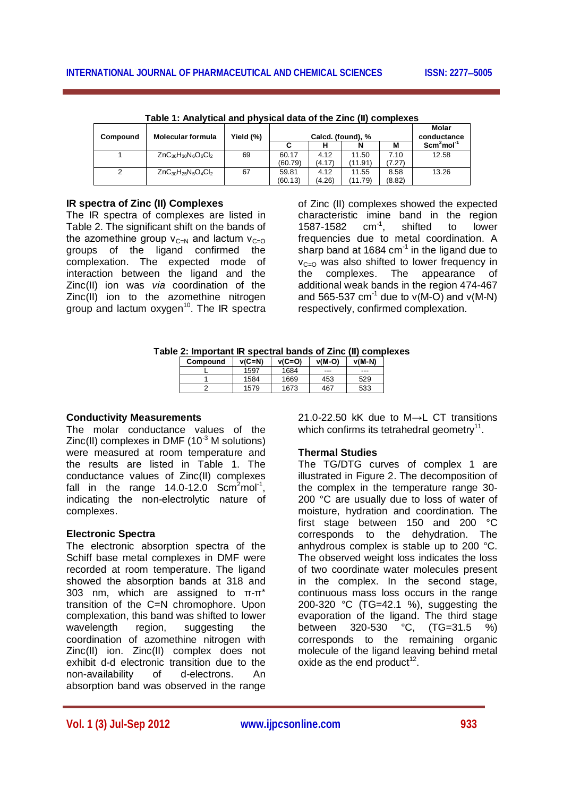| Compound | <b>Molecular formula</b>   | Yield (%) | Calcd. (found), % |        |         | Molar<br>conductance |             |
|----------|----------------------------|-----------|-------------------|--------|---------|----------------------|-------------|
|          |                            |           |                   |        |         | M                    | $Scm2mol-1$ |
|          | $ZnC_{36}H_{30}N_6O_6Cl_2$ | 69        | 60.17             | 4.12   | 11.50   | 7.10                 | 12.58       |
|          |                            |           | (60.79)           | (4.17) | (11.91) | (7.27)               |             |
|          | $ZnC_{30}H_{25}N_5O_4Cl_2$ | 67        | 59.81             | 4.12   | 11.55   | 8.58                 | 13.26       |
|          |                            |           | (60.13)           | (4.26) | (11.79) | (8.82)               |             |

**Table 1: Analytical and physical data of the Zinc (II) complexes**

# **IR spectra of Zinc (II) Complexes**

The IR spectra of complexes are listed in Table 2. The significant shift on the bands of the azomethine group  $v_{C=N}$  and lactum  $v_{C=O}$ groups of the ligand confirmed the complexation. The expected mode of interaction between the ligand and the Zinc(II) ion was *via* coordination of the Zinc(II) ion to the azomethine nitrogen group and lactum oxygen<sup>10</sup>. The IR spectra

of Zinc (II) complexes showed the expected characteristic imine band in the region 1587-1582  $cm^{-1}$ , shifted to lower frequencies due to metal coordination. A sharp band at 1684 cm $^{-1}$  in the ligand due to  $V_{C=O}$  was also shifted to lower frequency in the complexes. The appearance of additional weak bands in the region 474-467 and 565-537 cm<sup>-1</sup> due to  $v(M-Q)$  and  $v(M-N)$ respectively, confirmed complexation.

|  | Table 2: Important IR spectral bands of Zinc (II) complexes |  |  |
|--|-------------------------------------------------------------|--|--|
|  |                                                             |  |  |

| Compound | $v(C=N)$ | $v(C=O)$ | $v(M-O)$ | $v(M-N)$ |
|----------|----------|----------|----------|----------|
|          | 1597     | 1684     | ---      | ---      |
|          | 1584     | 1669     | 453      | 529      |
|          | 1579     | 1673     | 467      | 533      |

#### **Conductivity Measurements**

The molar conductance values of the  $Zinc(II)$  complexes in DMF (10 $3$  M solutions) were measured at room temperature and the results are listed in Table 1. The conductance values of Zinc(II) complexes fall in the range  $14.0 - 12.0$  Scm<sup>2</sup>mol<sup>-1</sup>, indicating the non-electrolytic nature of complexes.

#### **Electronic Spectra**

The electronic absorption spectra of the Schiff base metal complexes in DMF were recorded at room temperature. The ligand showed the absorption bands at 318 and 303 nm, which are assigned to π-π\* transition of the C=N chromophore. Upon complexation, this band was shifted to lower wavelength region, suggesting the coordination of azomethine nitrogen with Zinc(II) ion. Zinc(II) complex does not exhibit d-d electronic transition due to the non-availability of d-electrons. An absorption band was observed in the range

21.0-22.50 kK due to M*→*L CT transitions which confirms its tetrahedral geometry<sup>11</sup>.

#### **Thermal Studies**

The TG/DTG curves of complex 1 are illustrated in Figure 2. The decomposition of the complex in the temperature range 30- 200 °C are usually due to loss of water of moisture, hydration and coordination. The first stage between 150 and 200 °C corresponds to the dehydration. The anhydrous complex is stable up to 200 °C. The observed weight loss indicates the loss of two coordinate water molecules present in the complex. In the second stage, continuous mass loss occurs in the range 200-320 °C (TG=42.1 %), suggesting the evaporation of the ligand. The third stage between 320-530 °C, (TG=31.5 %) corresponds to the remaining organic molecule of the ligand leaving behind metal oxide as the end product $12$ .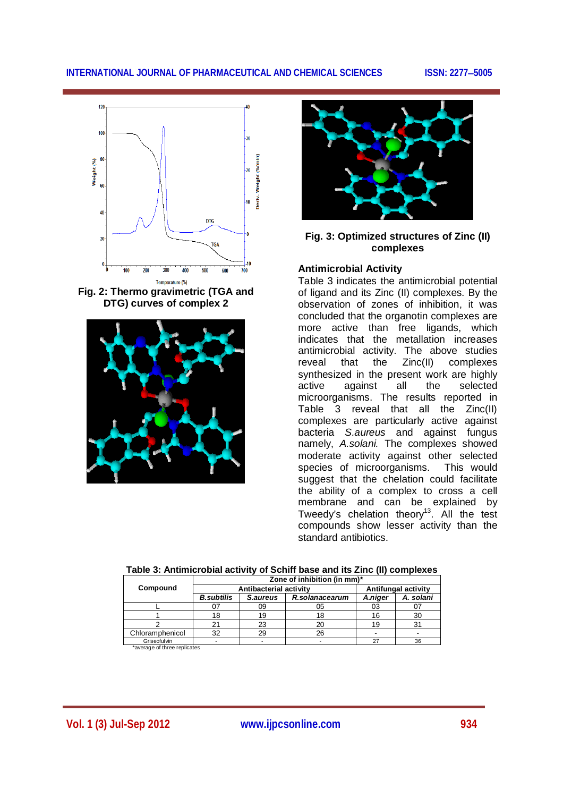

**Fig. 2: Thermo gravimetric (TGA and DTG) curves of complex 2**





# **Fig. 3: Optimized structures of Zinc (II) complexes**

## **Antimicrobial Activity**

Table 3 indicates the antimicrobial potential of ligand and its Zinc (II) complexes. By the observation of zones of inhibition, it was concluded that the organotin complexes are more active than free ligands, which indicates that the metallation increases antimicrobial activity. The above studies reveal that the Zinc(II) complexes synthesized in the present work are highly active against all the selected microorganisms. The results reported in Table 3 reveal that all the Zinc(II) complexes are particularly active against bacteria *S.aureus* and against fungus namely, *A.solani.* The complexes showed moderate activity against other selected species of microorganisms. This would suggest that the chelation could facilitate the ability of a complex to cross a cell membrane and can be explained by Tweedy's chelation theory $^{13}$ . All the test compounds show lesser activity than the standard antibiotics.

|                 | Zone of inhibition (in mm)* |                        |                     |         |           |  |
|-----------------|-----------------------------|------------------------|---------------------|---------|-----------|--|
| Compound        |                             | Antibacterial activity | Antifungal activity |         |           |  |
|                 | <b>B.subtilis</b>           | S.aureus               | R.solanacearum      | A.niger | A. solani |  |
|                 |                             | 09                     | 05                  | 03      |           |  |
|                 | 18                          | 19                     | 18                  |         | 30        |  |
|                 |                             | 23                     | 20                  |         |           |  |
| Chloramphenicol | 32                          | 29                     | 26                  |         |           |  |
| Griseofulvin    |                             |                        |                     | ົ       | 36        |  |

**Table 3: Antimicrobial activity of Schiff base and its Zinc (II) complexes**

\*average of three replicates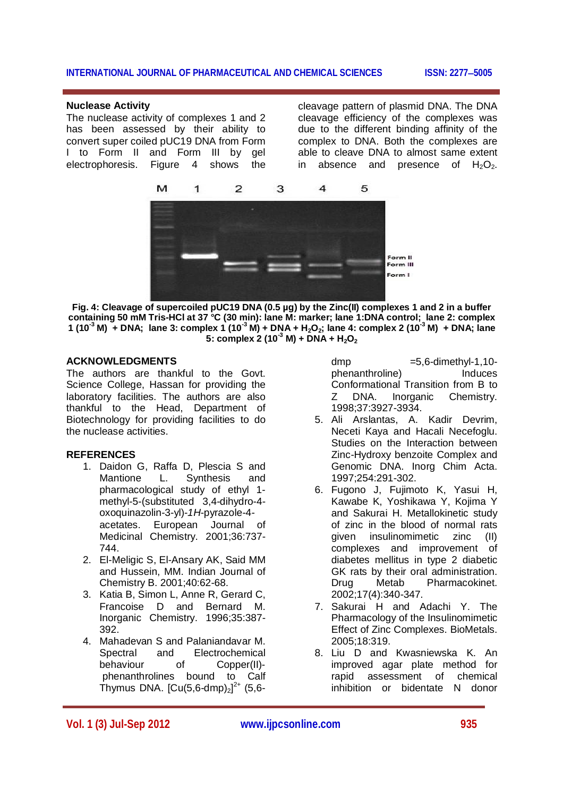#### **Nuclease Activity**

The nuclease activity of complexes 1 and 2 has been assessed by their ability to convert super coiled pUC19 DNA from Form I to Form II and Form III by gel electrophoresis. Figure 4 shows the

cleavage pattern of plasmid DNA. The DNA cleavage efficiency of the complexes was due to the different binding affinity of the complex to DNA. Both the complexes are able to cleave DNA to almost same extent in absence and presence of  $H_2O_2$ .



**Fig. 4: Cleavage of supercoiled pUC19 DNA (0.5 µg) by the Zinc(II) complexes 1 and 2 in a buffer containing 50 mM Tris-HCl at 37 °C (30 min): lane M: marker; lane 1:DNA control; lane 2: complex 1 (10-3 M) + DNA; lane 3: complex 1 (10-3 M) + DNA + H2O2; lane 4: complex 2 (10-3 M) + DNA; lane**   $5:$  complex  $2(10^3 \text{ M}) + \overline{\text{DNA}} + \overline{\text{H}}_2\text{O}_2$ 

## **ACKNOWLEDGMENTS**

The authors are thankful to the Govt. Science College, Hassan for providing the laboratory facilities. The authors are also thankful to the Head, Department of Biotechnology for providing facilities to do the nuclease activities.

#### **REFERENCES**

- 1. Daidon G, Raffa D, Plescia S and Mantione L. Synthesis and pharmacological study of ethyl 1 methyl-5-(substituted 3,4-dihydro-4 oxoquinazolin-3-yl)-*1H*-pyrazole-4 acetates. European Journal of Medicinal Chemistry. 2001;36:737- 744.
- 2. El-Meligic S, El-Ansary AK, Said MM and Hussein, MM. Indian Journal of Chemistry B. 2001;40:62-68.
- 3. Katia B, Simon L, Anne R, Gerard C, Francoise D and Bernard M. Inorganic Chemistry. 1996;35:387- 392.
- 4. Mahadevan S and Palaniandavar M. Spectral and Electrochemical behaviour of Copper(II) phenanthrolines bound to Calf Thymus DNA.  $[Cu(5,6-dmp)_2]^{2+}$  (5,6-

dmp  $=5.6$ -dimethyl-1,10phenanthroline) Induces Conformational Transition from B to Z DNA. Inorganic Chemistry. 1998;37:3927-3934.

- 5. Ali Arslantas, A. Kadir Devrim, Neceti Kaya and Hacali Necefoglu. Studies on the Interaction between Zinc-Hydroxy benzoite Complex and Genomic DNA. Inorg Chim Acta. 1997;254:291-302.
- 6. Fugono J, Fujimoto K, Yasui H, Kawabe K, Yoshikawa Y, Kojima Y and Sakurai H. Metallokinetic study of zinc in the blood of normal rats given insulinomimetic zinc (II) complexes and improvement of diabetes mellitus in type 2 diabetic GK rats by their oral administration. Drug Metab Pharmacokinet. 2002;17(4):340-347.
- 7. Sakurai H and Adachi Y. The Pharmacology of the Insulinomimetic Effect of Zinc Complexes. BioMetals. 2005;18:319.
- 8. Liu D and Kwasniewska K. An improved agar plate method for rapid assessment of chemical inhibition or bidentate N donor